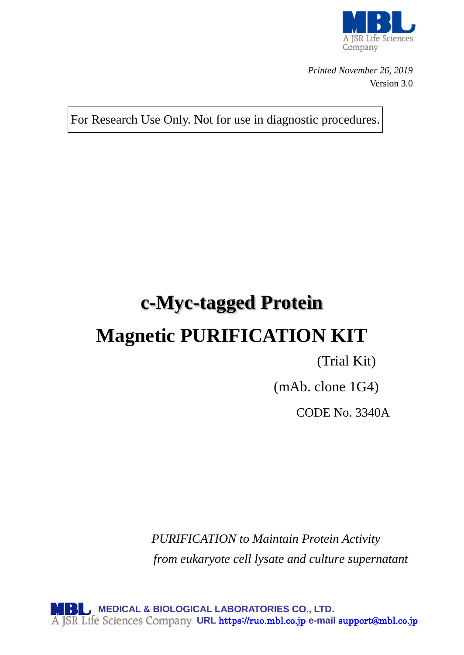

*Printed November 26, 2019* Version 3.0

For Research Use Only. Not for use in diagnostic procedures.

# **c-Myc-tagged Protein Magnetic PURIFICATION KIT**

## (Trial Kit)

(mAb. clone 1G4)

CODE No. 3340A

*PURIFICATION to Maintain Protein Activity from eukaryote cell lysate and culture supernatant*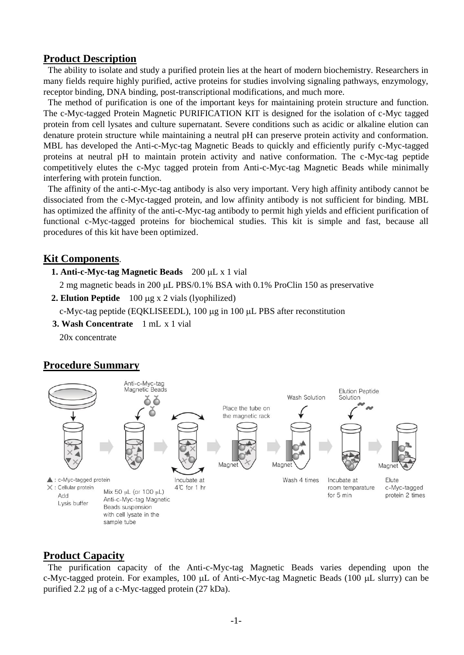## **Product Description**

The ability to isolate and study a purified protein lies at the heart of modern biochemistry. Researchers in many fields require highly purified, active proteins for studies involving signaling pathways, enzymology, receptor binding, DNA binding, post-transcriptional modifications, and much more.

The method of purification is one of the important keys for maintaining protein structure and function. The c-Myc-tagged Protein Magnetic PURIFICATION KIT is designed for the isolation of c-Myc tagged protein from cell lysates and culture supernatant. Severe conditions such as acidic or alkaline elution can denature protein structure while maintaining a neutral pH can preserve protein activity and conformation. MBL has developed the Anti-c-Myc-tag Magnetic Beads to quickly and efficiently purify c-Myc-tagged proteins at neutral pH to maintain protein activity and native conformation. The c-Myc-tag peptide competitively elutes the c-Myc tagged protein from Anti-c-Myc-tag Magnetic Beads while minimally interfering with protein function.

The affinity of the anti-c-Myc-tag antibody is also very important. Very high affinity antibody cannot be dissociated from the c-Myc-tagged protein, and low affinity antibody is not sufficient for binding. MBL has optimized the affinity of the anti-c-Myc-tag antibody to permit high yields and efficient purification of functional c-Myc-tagged proteins for biochemical studies. This kit is simple and fast, because all procedures of this kit have been optimized.

## **Kit Components**.

**1. Anti-c-Myc-tag Magnetic Beads** 200 µL x 1 vial

2 mg magnetic beads in 200  $\mu$ L PBS/0.1% BSA with 0.1% ProClin 150 as preservative

**2. Elution Peptide** 100 µg x 2 vials (lyophilized)

c-Myc-tag peptide (EQKLISEEDL), 100 µg in 100 µL PBS after reconstitution

**3. Wash Concentrate** 1 mL x 1 vial

20x concentrate

## **Procedure Summary**



## **Product Capacity**

The purification capacity of the Anti-c-Myc-tag Magnetic Beads varies depending upon the c-Myc-tagged protein. For examples,  $100 \mu L$  of Anti-c-Myc-tag Magnetic Beads (100  $\mu L$  slurry) can be purified 2.2  $\mu$ g of a c-Myc-tagged protein (27 kDa).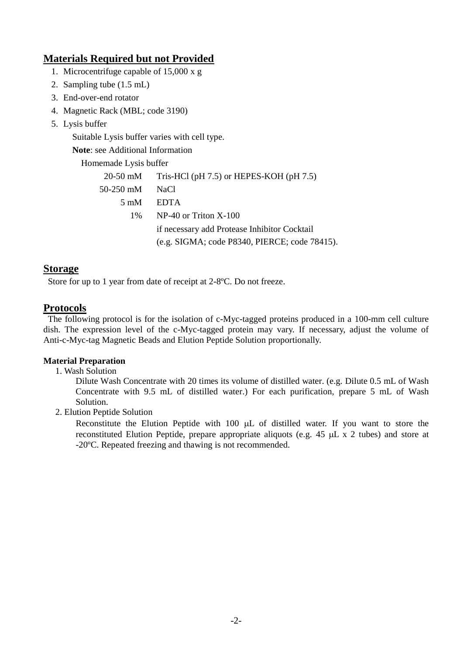## **Materials Required but not Provided**

- 1. Microcentrifuge capable of 15,000 x g
- 2. Sampling tube (1.5 mL)
- 3. End-over-end rotator
- 4. Magnetic Rack (MBL; code 3190)
- 5. Lysis buffer

Suitable Lysis buffer varies with cell type.

**Note**: see Additional Information

Homemade Lysis buffer

|                         | 20-50 mM Tris-HCl (pH 7.5) or HEPES-KOH (pH 7.5) |
|-------------------------|--------------------------------------------------|
| 50-250 mM               | NaCl                                             |
| $5 \text{ }\mathrm{mM}$ | <b>EDTA</b>                                      |
| $1\%$                   | $NP-40$ or Triton $X-100$                        |
|                         | if necessary add Protease Inhibitor Cocktail     |
|                         | (e.g. SIGMA; code P8340, PIERCE; code 78415).    |

## **Storage**

Store for up to 1 year from date of receipt at 2-8ºC. Do not freeze.

## **Protocols**

The following protocol is for the isolation of c-Myc-tagged proteins produced in a 100-mm cell culture dish. The expression level of the c-Myc-tagged protein may vary. If necessary, adjust the volume of Anti-c-Myc-tag Magnetic Beads and Elution Peptide Solution proportionally.

#### **Material Preparation**

1. Wash Solution

 Dilute Wash Concentrate with 20 times its volume of distilled water. (e.g. Dilute 0.5 mL of Wash Concentrate with 9.5 mL of distilled water.) For each purification, prepare 5 mL of Wash Solution.

2. Elution Peptide Solution

Reconstitute the Elution Peptide with  $100 \mu L$  of distilled water. If you want to store the reconstituted Elution Peptide, prepare appropriate aliquots (e.g.  $45 \mu L \times 2$  tubes) and store at -20ºC. Repeated freezing and thawing is not recommended.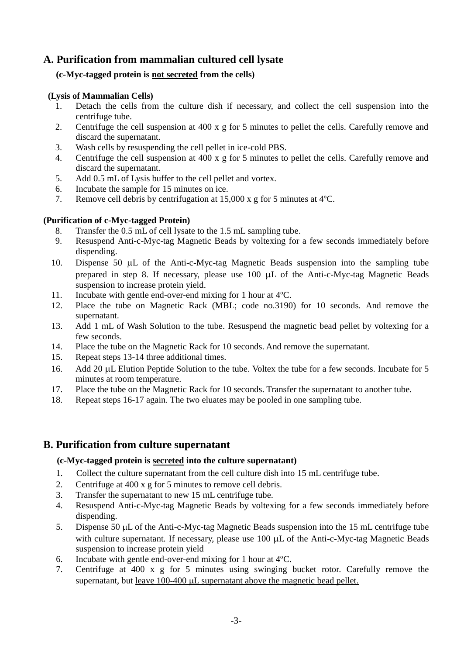## **A. Purification from mammalian cultured cell lysate**

#### **(c-Myc-tagged protein is not secreted from the cells)**

#### **(Lysis of Mammalian Cells)**

- 1. Detach the cells from the culture dish if necessary, and collect the cell suspension into the centrifuge tube.
- 2. Centrifuge the cell suspension at 400 x g for 5 minutes to pellet the cells. Carefully remove and discard the supernatant.
- 3. Wash cells by resuspending the cell pellet in ice-cold PBS.
- 4. Centrifuge the cell suspension at 400 x g for 5 minutes to pellet the cells. Carefully remove and discard the supernatant.
- 5. Add 0.5 mL of Lysis buffer to the cell pellet and vortex.
- 6. Incubate the sample for 15 minutes on ice.
- 7. Remove cell debris by centrifugation at 15,000 x g for 5 minutes at 4ºC.

#### **(Purification of c-Myc-tagged Protein)**

- 8. Transfer the 0.5 mL of cell lysate to the 1.5 mL sampling tube.
- 9. Resuspend Anti-c-Myc-tag Magnetic Beads by voltexing for a few seconds immediately before dispending.
- 10. Dispense 50  $\mu$ L of the Anti-c-Myc-tag Magnetic Beads suspension into the sampling tube prepared in step 8. If necessary, please use  $100 \mu L$  of the Anti-c-Myc-tag Magnetic Beads suspension to increase protein yield.
- 11. Incubate with gentle end-over-end mixing for 1 hour at 4ºC.
- 12. Place the tube on Magnetic Rack (MBL; code no.3190) for 10 seconds. And remove the supernatant.
- 13. Add 1 mL of Wash Solution to the tube. Resuspend the magnetic bead pellet by voltexing for a few seconds.
- 14. Place the tube on the Magnetic Rack for 10 seconds. And remove the supernatant.
- 15. Repeat steps 13-14 three additional times.
- 16. Add 20 µL Elution Peptide Solution to the tube. Voltex the tube for a few seconds. Incubate for 5 minutes at room temperature.
- 17. Place the tube on the Magnetic Rack for 10 seconds. Transfer the supernatant to another tube.
- 18. Repeat steps 16-17 again. The two eluates may be pooled in one sampling tube.

## **B. Purification from culture supernatant**

#### **(c-Myc-tagged protein is secreted into the culture supernatant)**

- 1. Collect the culture supernatant from the cell culture dish into 15 mL centrifuge tube.
- 2. Centrifuge at 400 x g for 5 minutes to remove cell debris.
- 3. Transfer the supernatant to new 15 mL centrifuge tube.
- 4. Resuspend Anti-c-Myc-tag Magnetic Beads by voltexing for a few seconds immediately before dispending.
- 5. Dispense 50  $\mu$ L of the Anti-c-Myc-tag Magnetic Beads suspension into the 15 mL centrifuge tube with culture supernatant. If necessary, please use  $100 \mu L$  of the Anti-c-Myc-tag Magnetic Beads suspension to increase protein yield
- 6. Incubate with gentle end-over-end mixing for 1 hour at 4ºC.
- 7. Centrifuge at 400 x g for 5 minutes using swinging bucket rotor. Carefully remove the supernatant, but leave  $100-400 \mu L$  supernatant above the magnetic bead pellet.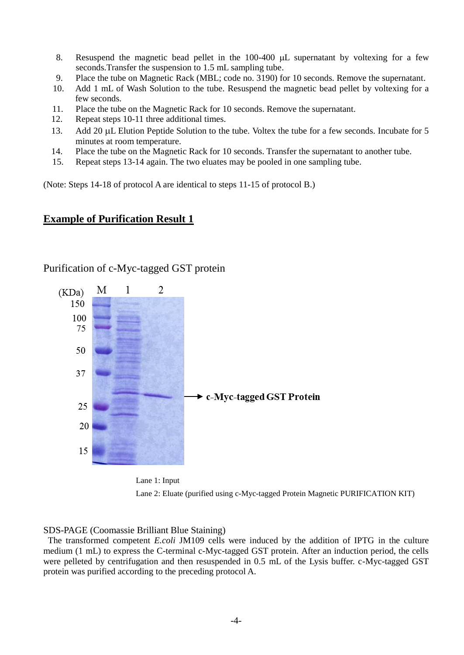- 8. Resuspend the magnetic bead pellet in the  $100-400 \mu L$  supernatant by voltexing for a few seconds.Transfer the suspension to 1.5 mL sampling tube.
- 9. Place the tube on Magnetic Rack (MBL; code no. 3190) for 10 seconds. Remove the supernatant.
- 10. Add 1 mL of Wash Solution to the tube. Resuspend the magnetic bead pellet by voltexing for a few seconds.
- 11. Place the tube on the Magnetic Rack for 10 seconds. Remove the supernatant.<br>12. Repeat steps 10-11 three additional times.
- Repeat steps 10-11 three additional times.
- 13. Add 20 µL Elution Peptide Solution to the tube. Voltex the tube for a few seconds. Incubate for 5 minutes at room temperature.
- 14. Place the tube on the Magnetic Rack for 10 seconds. Transfer the supernatant to another tube.
- 15. Repeat steps 13-14 again. The two eluates may be pooled in one sampling tube.

(Note: Steps 14-18 of protocol A are identical to steps 11-15 of protocol B.)

#### **Example of Purification Result 1**

#### Purification of c-Myc-tagged GST protein





#### SDS-PAGE (Coomassie Brilliant Blue Staining)

The transformed competent *E.coli* JM109 cells were induced by the addition of IPTG in the culture medium (1 mL) to express the C-terminal c-Myc-tagged GST protein. After an induction period, the cells were pelleted by centrifugation and then resuspended in 0.5 mL of the Lysis buffer. c-Myc-tagged GST protein was purified according to the preceding protocol A.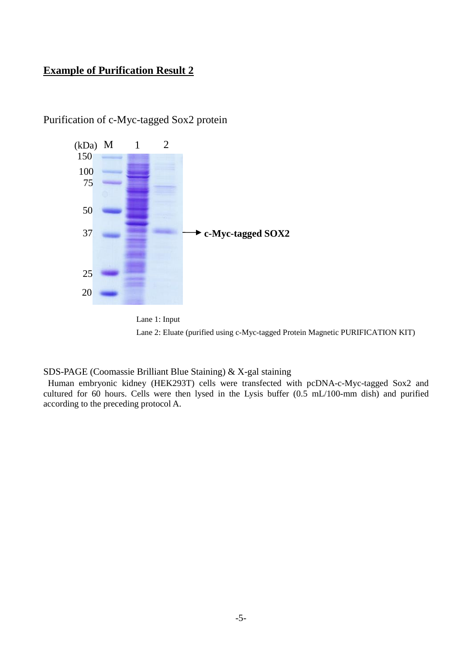## **Example of Purification Result 2**



## Purification of c-Myc-tagged Sox2 protein



SDS-PAGE (Coomassie Brilliant Blue Staining) & X-gal staining

Human embryonic kidney (HEK293T) cells were transfected with pcDNA-c-Myc-tagged Sox2 and cultured for 60 hours. Cells were then lysed in the Lysis buffer (0.5 mL/100-mm dish) and purified according to the preceding protocol A.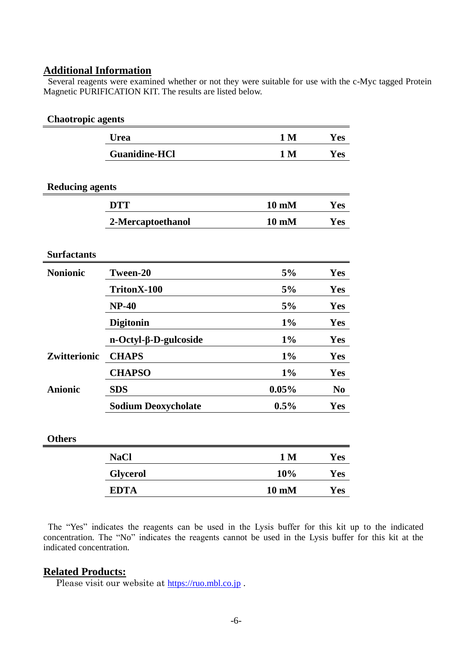## **Additional Information**

Several reagents were examined whether or not they were suitable for use with the c-Myc tagged Protein Magnetic PURIFICATION KIT. The results are listed below.

| <b>Chaotropic agents</b>   |                 |                |  |  |
|----------------------------|-----------------|----------------|--|--|
| <b>Urea</b>                | 1 <sub>M</sub>  | Yes            |  |  |
| <b>Guanidine-HCl</b>       | 1 <sub>M</sub>  | Yes            |  |  |
|                            |                 |                |  |  |
| <b>Reducing agents</b>     |                 |                |  |  |
| <b>DTT</b>                 | $10 \text{ mM}$ | Yes            |  |  |
| 2-Mercaptoethanol          | $10 \text{ mM}$ | Yes            |  |  |
|                            |                 |                |  |  |
|                            |                 |                |  |  |
| Tween-20                   | 5%              | Yes            |  |  |
| TritonX-100                | 5%              | Yes            |  |  |
| <b>NP-40</b>               | 5%              | Yes            |  |  |
| <b>Digitonin</b>           | $1\%$           | Yes            |  |  |
| n-Octyl-β-D-gulcoside      | $1\%$           | Yes            |  |  |
| <b>CHAPS</b>               | $1\%$           | Yes            |  |  |
| <b>CHAPSO</b>              | $1\%$           | Yes            |  |  |
| <b>SDS</b>                 | 0.05%           | N <sub>0</sub> |  |  |
| <b>Sodium Deoxycholate</b> | 0.5%            | Yes            |  |  |
|                            |                 |                |  |  |
|                            |                 |                |  |  |
| <b>NaCl</b>                | 1 <sub>M</sub>  | Yes            |  |  |
| <b>Glycerol</b>            | 10%             | Yes            |  |  |
| <b>EDTA</b>                | $10 \text{ mM}$ | Yes            |  |  |
|                            |                 |                |  |  |

The "Yes" indicates the reagents can be used in the Lysis buffer for this kit up to the indicated concentration. The "No" indicates the reagents cannot be used in the Lysis buffer for this kit at the indicated concentration.

## **Related Products:**

Please visit our website at [https://ruo.mbl.co.jp](https://ruo.mbl.co.jp/).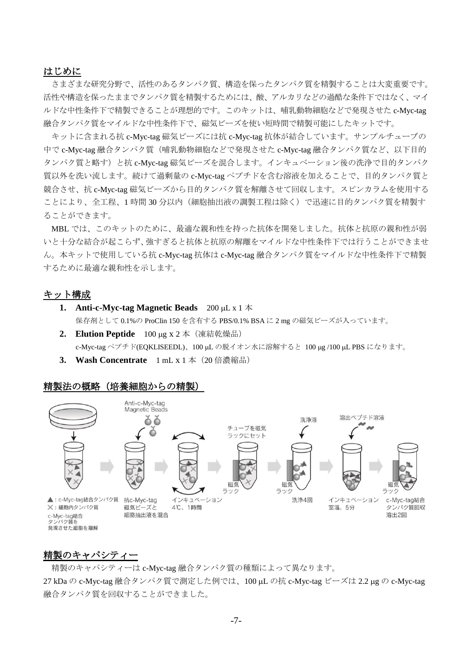#### はじめに

さまざまな研究分野で、活性のあるタンパク質、構造を保ったタンパク質を精製することは大変重要です。 活性や構造を保ったままでタンパク質を精製するためには、酸、アルカリなどの過酷な条件下ではなく、マイ ルドな中性条件下で精製できることが理想的です。このキットは、哺乳動物細胞などで発現させた c-Myc-tag 融合タンパク質をマイルドな中性条件下で、磁気ビーズを使い短時間で精製可能にしたキットです。

キットに含まれる抗 c-Myc-tag 磁気ビーズには抗 c-Myc-tag 抗体が結合しています。サンプルチューブの 中で c-Myc-tag 融合タンパク質(哺乳動物細胞などで発現させた c-Myc-tag 融合タンパク質など、以下目的 タンパク質と略す)と抗 c-Myc-tag 磁気ビーズを混合します。インキュベーション後の洗浄で目的タンパク 質以外を洗い流します。続けて過剰量の c-Myc-tag ペプチドを含む溶液を加えることで、目的タンパク質と 競合させ、抗 c-Myc-tag 磁気ビーズから目的タンパク質を解離させて回収します。スピンカラムを使用する ことにより、全工程、1 時間 30 分以内(細胞抽出液の調製工程は除く)で迅速に目的タンパク質を精製す ることができます。

MBL では、このキットのために、最適な親和性を持った抗体を開発しました。抗体と抗原の親和性が弱 いと十分な結合が起こらず、強すぎると抗体と抗原の解離をマイルドな中性条件下では行うことができませ ん。本キットで使用している抗 c-Myc-tag 抗体は c-Myc-tag 融合タンパク質をマイルドな中性条件下で精製 するために最適な親和性を示します。

#### キット構成

- **1. Anti-c-Myc-tag Magnetic Beads**  $200 \mu L \times 1 \neq 0$ 保存剤として 0.1%の ProClin 150 を含有する PBS/0.1% BSA に 2 mg の磁気ビーズが入っています。
- **2.** Elution Peptide 100 μg x 2 本 (凍結乾燥品) c-Myc-tag ペプチド(EQKLISEEDL)、100 µL の脱イオン水に溶解すると 100 µg /100 µL PBS になります。
- 3. Wash Concentrate 1 mL x 1 本 (20 倍濃縮品)

#### 精製法の概略(培養細胞からの精製)



#### <u>精製のキャパシティー</u>

精製のキャパシティーは c-Myc-tag 融合タンパク質の種類によって異なります。

27 kDa の c-Myc-tag 融合タンパク質で測定した例では、100 μL の抗 c-Myc-tag ビーズは 2.2 μg の c-Myc-tag 融合タンパク質を回収することができました。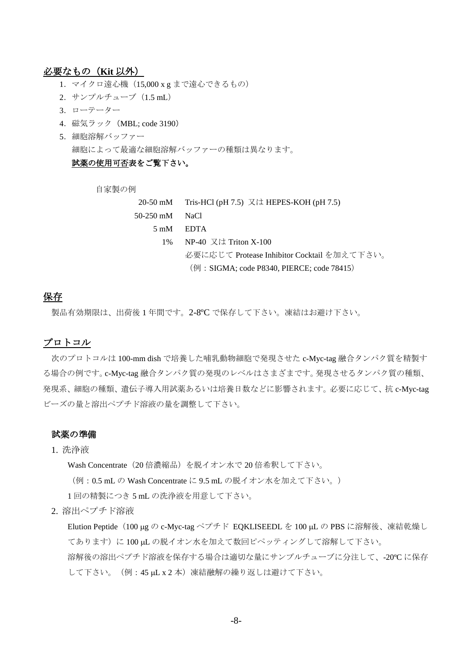#### 必要なもの(**Kit** 以外)

- 1. マイクロ遠心機 (15,000 x g まで遠心できるもの)
- 2.サンプルチューブ(1.5 mL)
- 3.ローテーター
- 4.磁気ラック(MBL; code 3190)
- 5. 細胞溶解バッファー 細胞によって最適な細胞溶解バッファーの種類は異なります。

## 試薬の使用可否表をご覧下さい。

自家製の例

|                                            | 20-50 mM Tris-HCl (pH 7.5) 又は HEPES-KOH (pH 7.5) |  |
|--------------------------------------------|--------------------------------------------------|--|
| 50-250 mM                                  | - NaCl                                           |  |
|                                            | $5 \text{ mM}$ EDTA                              |  |
|                                            | 1% NP-40 又は Triton X-100                         |  |
|                                            | 必要に応じて Protease Inhibitor Cocktail を加えて下さい。      |  |
| (例: SIGMA; code P8340, PIERCE; code 78415) |                                                  |  |

#### 保存

製品有効期限は、出荷後 1 年間です。2-8ºC で保存して下さい。凍結はお避け下さい。

#### プロトコル

次のプロトコルは 100-mm dish で培養した哺乳動物細胞で発現させた c-Myc-tag 融合タンパク質を精製す る場合の例です。c-Myc-tag 融合タンパク質の発現のレベルはさまざまです。発現させるタンパク質の種類、 発現系、細胞の種類、遺伝子導入用試薬あるいは培養日数などに影響されます。必要に応じて、抗 c-Myc-tag ビーズの量と溶出ペプチド溶液の量を調整して下さい。

#### 試薬の準備

1. 洗浄液

Wash Concentrate(20 倍濃縮品)を脱イオン水で 20 倍希釈して下さい。

(例:0.5 mL の Wash Concentrate に 9.5 mL の脱イオン水を加えて下さい。)

1 回の精製につき 5 mL の洗浄液を用意して下さい。

2. 溶出ペプチド溶液

Elution Peptide (100 μg の c-Myc-tag ペプチド EOKLISEEDL を 100 μL の PBS に溶解後、凍結乾燥し てあります)に 100 uL の脱イオン水を加えて数回ピペッティングして溶解して下さい。

溶解後の溶出ペプチド溶液を保存する場合は適切な量にサンプルチューブに分注して、-20ºC に保存 して下さい。(例:45 μL x 2 本)凍結融解の繰り返しは避けて下さい。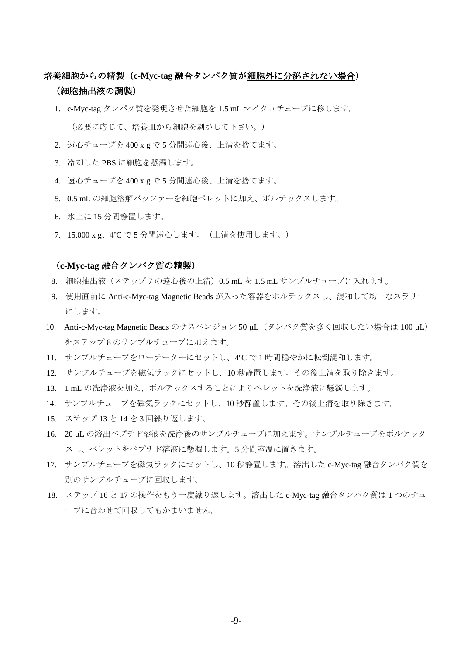## 培養細胞からの精製(**c-Myc-tag** 融合タンパク質が細胞外に分泌されない場合) (細胞抽出液の調製)

- 1. c-Myc-tag タンパク質を発現させた細胞を 1.5 mL マイクロチューブに移します。 (必要に応じて、培養皿から細胞を剥がして下さい。)
- 2. 遠心チューブを 400 x g で 5 分間遠心後、上清を捨てます。
- 3. 冷却した PBS に細胞を懸濁します。
- 4. 遠心チューブを 400 x g で 5 分間遠心後、上清を捨てます。
- 5. 0.5 mL の細胞溶解バッファーを細胞ペレットに加え、ボルテックスします。
- 6. 氷上に 15 分間静置します。
- 7. 15,000 x g、4ºC で 5 分間遠心します。(上清を使用します。)

#### (**c-Myc-tag** 融合タンパク質の精製)

- 8. 細胞抽出液(ステップ 7 の遠心後の上清)0.5 mL を 1.5 mL サンプルチューブに入れます。
- 9. 使用直前に Anti-c-Myc-tag Magnetic Beads が入った容器をボルテックスし、混和して均一なスラリー にします。
- 10. Anti-c-Myc-tag Magnetic Beads のサスペンジョン 50 µL (タンパク質を多く回収したい場合は 100 µL) をステップ 8 のサンプルチューブに加えます。
- 11. サンプルチューブをローテーターにセットし、4ºC で 1 時間穏やかに転倒混和します。
- 12. サンプルチューブを磁気ラックにセットし、10 秒静置します。その後上清を取り除きます。
- 13. 1 mL の洗浄液を加え、ボルテックスすることによりペレットを洗浄液に懸濁します。
- 14. サンプルチューブを磁気ラックにセットし、10 秒静置します。その後上清を取り除きます。
- 15. ステップ 13 と 14 を 3 回繰り返します。
- 16. 20 uL の溶出ペプチド溶液を洗浄後のサンプルチューブに加えます。サンプルチューブをボルテック スし、ペレットをペプチド溶液に懸濁します。5 分間室温に置きます。
- 17. サンプルチューブを磁気ラックにセットし、10 秒静置します。溶出した c-Myc-tag 融合タンパク質を 別のサンプルチューブに回収します。
- 18. ステップ 16 と 17 の操作をもう一度繰り返します。溶出した c-Myc-tag 融合タンパク質は 1 つのチュ ーブに合わせて回収してもかまいません。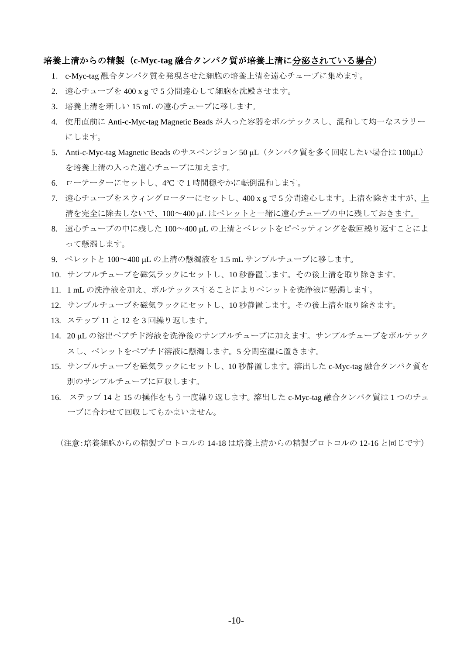#### 培養上清からの精製(**c-Myc-tag** 融合タンパク質が培養上清に分泌されている場合)

- 1. c-Myc-tag 融合タンパク質を発現させた細胞の培養上清を遠心チューブに集めます。
- 2. 遠心チューブを 400 x g で 5 分間遠心して細胞を沈殿させます。
- 3. 培養上清を新しい 15 mL の遠心チューブに移します。
- 4. 使用直前に Anti-c-Myc-tag Magnetic Beads が入った容器をボルテックスし、混和して均一なスラリー にします。
- 5. Anti-c-Myc-tag Magnetic Beads のサスペンジョン 50 µL (タンパク質を多く回収したい場合は 100µL) を培養上清の入った遠心チューブに加えます。
- 6. ローテーターにセットし、4ºC で 1 時間穏やかに転倒混和します。
- 7. 遠心チューブをスウィングローターにセットし、400 x g で 5 分間遠心します。上清を除きますが、上 清を完全に除去しないで、100~400 uL はペレットと一緒に遠心チューブの中に残しておきます。
- 8. 遠心チューブの中に残した 100~400 uL の上清とペレットをピペッティングを数回繰り返すことによ って懸濁します。
- 9. ペレットと 100~400 uL の上清の懸濁液を 1.5 mL サンプルチューブに移します。
- 10. サンプルチューブを磁気ラックにセットし、10 秒静置します。その後上清を取り除きます。
- 11. 1 mL の洗浄液を加え、ボルテックスすることによりペレットを洗浄液に懸濁します。
- 12. サンプルチューブを磁気ラックにセットし、10 秒静置します。その後上清を取り除きます。
- 13. ステップ 11 と 12 を 3 回繰り返します。
- 14. 20 µL の溶出ペプチド溶液を洗浄後のサンプルチューブに加えます。サンプルチューブをボルテック スし、ペレットをペプチド溶液に懸濁します。5 分間室温に置きます。
- 15. サンプルチューブを磁気ラックにセットし、10 秒静置します。溶出した c-Myc-tag 融合タンパク質を 別のサンプルチューブに回収します。
- 16. ステップ 14 と 15 の操作をもう一度繰り返します。溶出した c-Myc-tag 融合タンパク質は 1 つのチュ ーブに合わせて回収してもかまいません。

(注意:培養細胞からの精製プロトコルの 14-18 は培養上清からの精製プロトコルの 12-16 と同じです)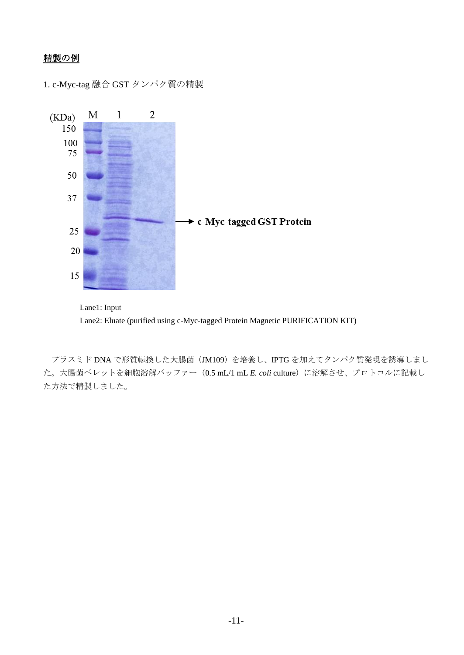## 精製の例

1. c-Myc-tag 融合 GST タンパク質の精製





プラスミド DNA で形質転換した大腸菌(JM109)を培養し、IPTG を加えてタンパク質発現を誘導しまし た。大腸菌ペレットを細胞溶解バッファー(0.5 mL/1 mL *E. coli* culture)に溶解させ、プロトコルに記載し た方法で精製しました。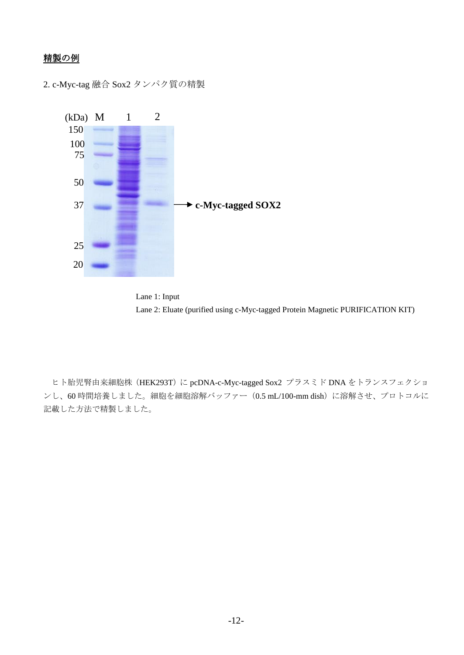## 精製の例

2. c-Myc-tag 融合 Sox2 タンパク質の精製





ヒト胎児腎由来細胞株 (HEK293T)に pcDNA-c-Myc-tagged Sox2 プラスミド DNA をトランスフェクショ ンし、60 時間培養しました。細胞を細胞溶解バッファー(0.5 mL/100-mm dish)に溶解させ、プロトコルに 記載した方法で精製しました。